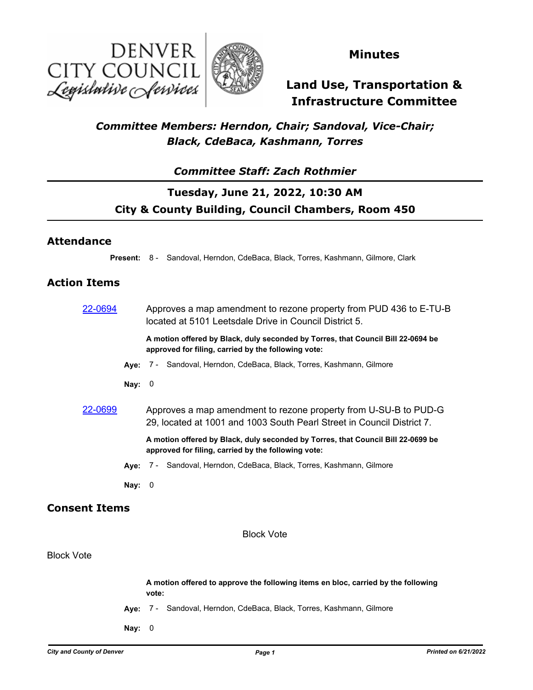



### **Minutes**

# **Land Use, Transportation & Infrastructure Committee**

### *Committee Members: Herndon, Chair; Sandoval, Vice-Chair; Black, CdeBaca, Kashmann, Torres*

### *Committee Staff: Zach Rothmier*

## **Tuesday, June 21, 2022, 10:30 AM City & County Building, Council Chambers, Room 450**

#### **Attendance**

**Present:** 8 - Sandoval, Herndon, CdeBaca, Black, Torres, Kashmann, Gilmore, Clark

#### **Action Items**

[22-0694](http://denver.legistar.com/gateway.aspx?m=l&id=/matter.aspx?key=21761) Approves a map amendment to rezone property from PUD 436 to E-TU-B located at 5101 Leetsdale Drive in Council District 5.

**A motion offered by Black, duly seconded by Torres, that Council Bill 22-0694 be approved for filing, carried by the following vote:**

- **Aye:** 7 Sandoval, Herndon, CdeBaca, Black, Torres, Kashmann, Gilmore
- **Nay:** 0
- [22-0699](http://denver.legistar.com/gateway.aspx?m=l&id=/matter.aspx?key=21766) Approves a map amendment to rezone property from U-SU-B to PUD-G 29, located at 1001 and 1003 South Pearl Street in Council District 7.

**A motion offered by Black, duly seconded by Torres, that Council Bill 22-0699 be approved for filing, carried by the following vote:**

**Aye:** 7 - Sandoval, Herndon, CdeBaca, Black, Torres, Kashmann, Gilmore

**Nay:** 0

#### **Consent Items**

Block Vote

#### Block Vote

|          | A motion offered to approve the following items en bloc, carried by the following<br>vote: |                                                                       |  |
|----------|--------------------------------------------------------------------------------------------|-----------------------------------------------------------------------|--|
|          |                                                                                            | Ave: 7 - Sandoval, Herndon, CdeBaca, Black, Torres, Kashmann, Gilmore |  |
| Nay: $0$ |                                                                                            |                                                                       |  |